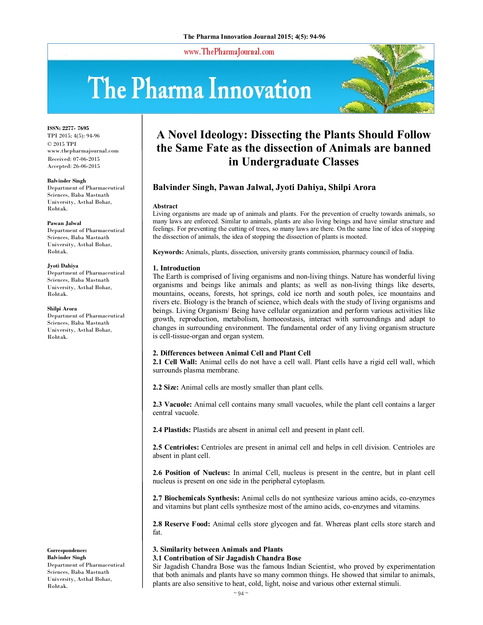www.ThePharmaJournal.com

# The Pharma Innovation



**ISSN: 2277- 7695** TPI 2015; 4(5): 94-96 © 2015 TPI www.thepharmajournal.com Received: 07-06-2015 Accepted: 26-06-2015

#### **Balvinder Singh**

Department of Pharmaceutical Sciences, Baba Mastnath University, Asthal Bohar, Rohtak.

#### **Pawan Jalwal**

Department of Pharmaceutical Sciences, Baba Mastnath University, Asthal Bohar, Rohtak.

#### **Jyoti Dahiya**

Department of Pharmaceutical Sciences, Baba Mastnath University, Asthal Bohar, Rohtak.

#### **Shilpi Arora**

Department of Pharmaceutical Sciences, Baba Mastnath University, Asthal Bohar, Rohtak.

**Correspondence: Balvinder Singh** Department of Pharmaceutical Sciences, Baba Mastnath University, Asthal Bohar, Rohtak.

# **A Novel Ideology: Dissecting the Plants Should Follow the Same Fate as the dissection of Animals are banned in Undergraduate Classes**

# **Balvinder Singh, Pawan Jalwal, Jyoti Dahiya, Shilpi Arora**

#### **Abstract**

Living organisms are made up of animals and plants. For the prevention of cruelty towards animals, so many laws are enforced. Similar to animals, plants are also living beings and have similar structure and feelings. For preventing the cutting of trees, so many laws are there. On the same line of idea of stopping the dissection of animals, the idea of stopping the dissection of plants is mooted.

**Keywords:** Animals, plants, dissection, university grants commission, pharmacy council of India.

## **1. Introduction**

The Earth is comprised of living organisms and non-living things. Nature has wonderful living organisms and beings like animals and plants; as well as non-living things like deserts, mountains, oceans, forests, hot springs, cold ice north and south poles, ice mountains and rivers etc. Biology is the branch of science, which deals with the study of living organisms and beings. Living Organism/ Being have cellular organization and perform various activities like growth, reproduction, metabolism, homoeostasis, interact with surroundings and adapt to changes in surrounding environment. The fundamental order of any living organism structure is cell-tissue-organ and organ system.

## **2. Differences between Animal Cell and Plant Cell**

**2.1 Cell Wall:** Animal cells do not have a cell wall. Plant cells have a rigid cell wall, which surrounds plasma membrane.

**2.2 Size:** Animal cells are mostly smaller than plant cells.

**2.3 Vacuole:** Animal cell contains many small vacuoles, while the plant cell contains a larger central vacuole.

**2.4 Plastids:** Plastids are absent in animal cell and present in plant cell.

**2.5 Centrioles:** Centrioles are present in animal cell and helps in cell division. Centrioles are absent in plant cell.

**2.6 Position of Nucleus:** In animal Cell, nucleus is present in the centre, but in plant cell nucleus is present on one side in the peripheral cytoplasm.

**2.7 Biochemicals Synthesis:** Animal cells do not synthesize various amino acids, co-enzymes and vitamins but plant cells synthesize most of the amino acids, co-enzymes and vitamins.

**2.8 Reserve Food:** Animal cells store glycogen and fat. Whereas plant cells store starch and fat.

# **3. Similarity between Animals and Plants**

## **3.1 Contribution of Sir Jagadish Chandra Bose**

Sir Jagadish Chandra Bose was the famous Indian Scientist, who proved by experimentation that both animals and plants have so many common things. He showed that similar to animals, plants are also sensitive to heat, cold, light, noise and various other external stimuli.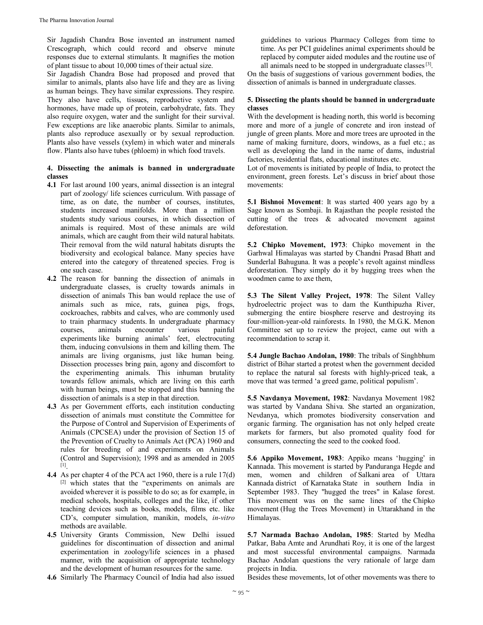Sir Jagadish Chandra Bose invented an instrument named Crescograph, which could record and observe minute responses due to external stimulants. It magnifies the motion of plant tissue to about 10,000 times of their actual size.

Sir Jagadish Chandra Bose had proposed and proved that similar to animals, plants also have life and they are as living as human beings. They have similar expressions. They respire. They also have cells, tissues, reproductive system and hormones, have made up of protein, carbohydrate, fats. They also require oxygen, water and the sunlight for their survival. Few exceptions are like anaerobic plants. Similar to animals, plants also reproduce asexually or by sexual reproduction. Plants also have vessels (xylem) in which water and minerals flow. Plants also have tubes (phloem) in which food travels.

#### **4. Dissecting the animals is banned in undergraduate classes**

- **4.1** For last around 100 years, animal dissection is an integral part of zoology/ life sciences curriculum. With passage of time, as on date, the number of courses, institutes, students increased manifolds. More than a million students study various courses, in which dissection of animals is required. Most of these animals are wild animals, which are caught from their wild natural habitats. Their removal from the wild natural habitats disrupts the biodiversity and ecological balance. Many species have entered into the category of threatened species. Frog is one such case.
- **4.2** The reason for banning the dissection of animals in undergraduate classes, is cruelty towards animals in dissection of animals This ban would replace the use of animals such as mice, rats, guinea pigs, frogs, cockroaches, rabbits and calves, who are commonly used to train pharmacy students. In undergraduate pharmacy courses, animals encounter various painful experiments like burning animals' feet, electrocuting them, inducing convulsions in them and killing them. The animals are living organisms, just like human being. Dissection processes bring pain, agony and discomfort to the experimenting animals. This inhuman brutality towards fellow animals, which are living on this earth with human beings, must be stopped and this banning the dissection of animals is a step in that direction.
- **4.3** As per Government efforts, each institution conducting dissection of animals must constitute the Committee for the Purpose of Control and Supervision of Experiments of Animals (CPCSEA) under the provision of Section 15 of the Prevention of Cruelty to Animals Act (PCA) 1960 and rules for breeding of and experiments on Animals (Control and Supervision); 1998 and as amended in 2005 [1] .
- **4.4** As per chapter 4 of the PCA act 1960, there is a rule 17(d) [2] which states that the "experiments on animals are avoided wherever it is possible to do so; as for example, in medical schools, hospitals, colleges and the like, if other teaching devices such as books, models, films etc. like CD's, computer simulation, manikin, models, *in-vitro*  methods are available.
- **4.5** University Grants Commission, New Delhi issued guidelines for discontinuation of dissection and animal experimentation in zoology/life sciences in a phased manner, with the acquisition of appropriate technology and the development of human resources for the same.
- **4.6** Similarly The Pharmacy Council of India had also issued

guidelines to various Pharmacy Colleges from time to time. As per PCI guidelines animal experiments should be replaced by computer aided modules and the routine use of all animals need to be stopped in undergraduate classes<sup>[3]</sup>.

On the basis of suggestions of various government bodies, the dissection of animals is banned in undergraduate classes.

## **5. Dissecting the plants should be banned in undergraduate classes**

With the development is heading north, this world is becoming more and more of a jungle of concrete and iron instead of jungle of green plants. More and more trees are uprooted in the name of making furniture, doors, windows, as a fuel etc.; as well as developing the land in the name of dams, industrial factories, residential flats, educational institutes etc.

Lot of movements is initiated by people of India, to protect the environment, green forests. Let's discuss in brief about those movements:

**5.1 Bishnoi Movement**: It was started 400 years ago by a Sage known as Sombaji. In Rajasthan the people resisted the cutting of the trees & advocated movement against deforestation.

**5.2 Chipko Movement, 1973**: Chipko movement in the Garhwal Himalayas was started by Chandni Prasad Bhatt and Sunderlal Bahuguna. It was a people's revolt against mindless deforestation. They simply do it by hugging trees when the woodmen came to axe them,

**5.3 The Silent Valley Project, 1978**: The Silent Valley hydroelectric project was to dam the Kunthipuzha River, submerging the entire biosphere reserve and destroying its four-million-year-old rainforests. In 1980, the M.G.K. Menon Committee set up to review the project, came out with a recommendation to scrap it.

**5.4 Jungle Bachao Andolan, 1980**: The tribals of Singhbhum district of Bihar started a protest when the government decided to replace the natural sal forests with highly-priced teak, a move that was termed 'a greed game, political populism'.

**5.5 Navdanya Movement, 1982**: Navdanya Movement 1982 was started by Vandana Shiva. She started an organization, Nevdanya, which promotes biodiversity conservation and organic farming. The organisation has not only helped create markets for farmers, but also promoted quality food for consumers, connecting the seed to the cooked food.

**5.6 Appiko Movement, 1983**: Appiko means 'hugging' in Kannada. This movement is started by Panduranga Hegde and men, women and children of Salkani area of Uttara Kannada district of Karnataka State in southern India in September 1983. They "hugged the trees" in Kalase forest. This movement was on the same lines of the Chipko movement (Hug the Trees Movement) in Uttarakhand in the Himalayas.

**5.7 Narmada Bachao Andolan, 1985**: Started by Medha Patkar, Baba Amte and Arundhati Roy, it is one of the largest and most successful environmental campaigns. Narmada Bachao Andolan questions the very rationale of large dam projects in India.

Besides these movements, lot of other movements was there to